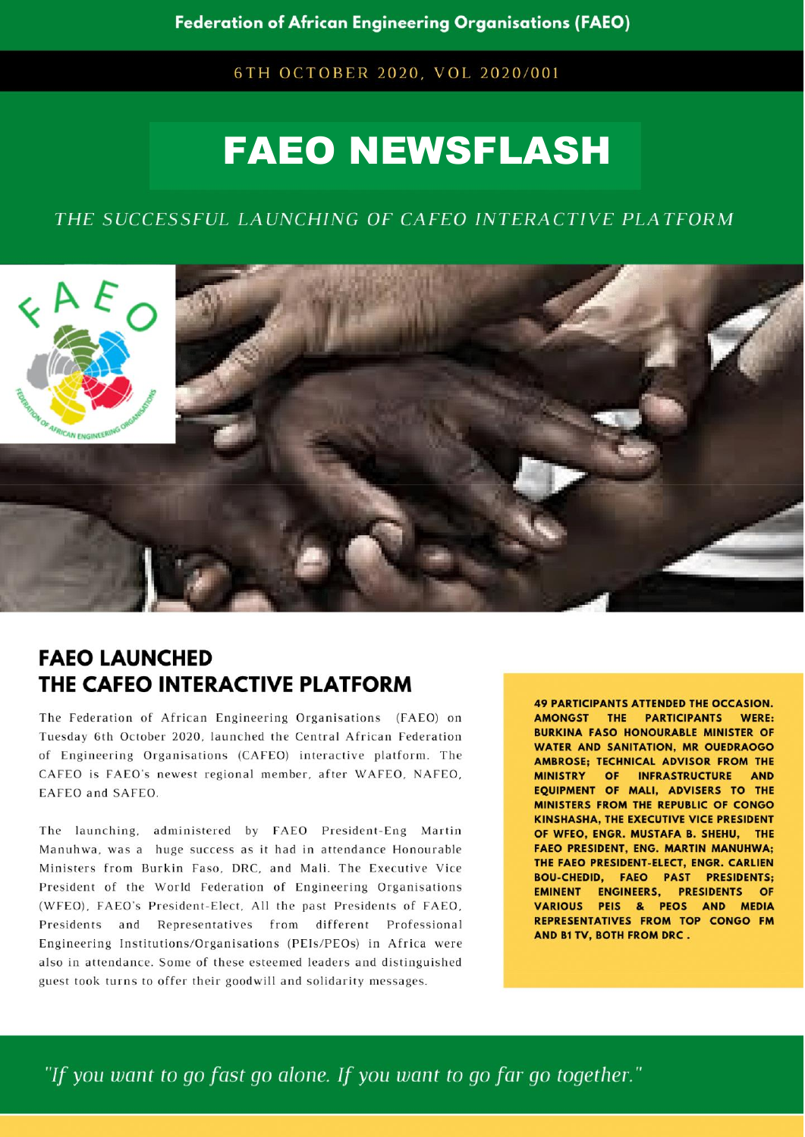6TH OCTOBER 2020, VOL 2020/001

# **FAEO NEWSFLASH**

## THE SUCCESSFUL LAUNCHING OF CAFEO INTERACTIVE PLATFORM



## **FAEO LAUNCHED** THE CAFEO INTERACTIVE PLATFORM

The Federation of African Engineering Organisations (FAEO) on Tuesday 6th October 2020, launched the Central African Federation of Engineering Organisations (CAFEO) interactive platform. The CAFEO is FAEO's newest regional member, after WAFEO, NAFEO, EAFEO and SAFEO.

The launching, administered by FAEO President-Eng Martin Manuhwa, was a huge success as it had in attendance Honourable Ministers from Burkin Faso, DRC, and Mali. The Executive Vice President of the World Federation of Engineering Organisations (WFEO), FAEO's President-Elect, All the past Presidents of FAEO, Presidents and Representatives from different Professional Engineering Institutions/Organisations (PEIs/PEOs) in Africa were also in attendance. Some of these esteemed leaders and distinguished guest took turns to offer their goodwill and solidarity messages.

**49 PARTICIPANTS ATTENDED THE OCCASION.** AMONGST THE PARTICIPANTS WERE: **BURKINA FASO HONOURABLE MINISTER OF WATER AND SANITATION, MR OUEDRAOGO** AMBROSE; TECHNICAL ADVISOR FROM THE MINISTRY OF INFRASTRUCTURE AND EQUIPMENT OF MALI, ADVISERS TO THE MINISTERS FROM THE REPUBLIC OF CONGO KINSHASHA, THE EXECUTIVE VICE PRESIDENT OF WFEO, ENGR. MUSTAFA B. SHEHU, THE **FAEO PRESIDENT, ENG. MARTIN MANUHWA;** THE FAEO PRESIDENT-ELECT, ENGR. CARLIEN **BOU-CHEDID, FAEO PAST PRESIDENTS; EMINENT ENGINEERS, PRESIDENTS OF** VARIOUS PEIS & PEOS AND MEDIA REPRESENTATIVES FROM TOP CONGO FM AND B1 TV, BOTH FROM DRC.

"If you want to go fast go alone. If you want to go far go together."